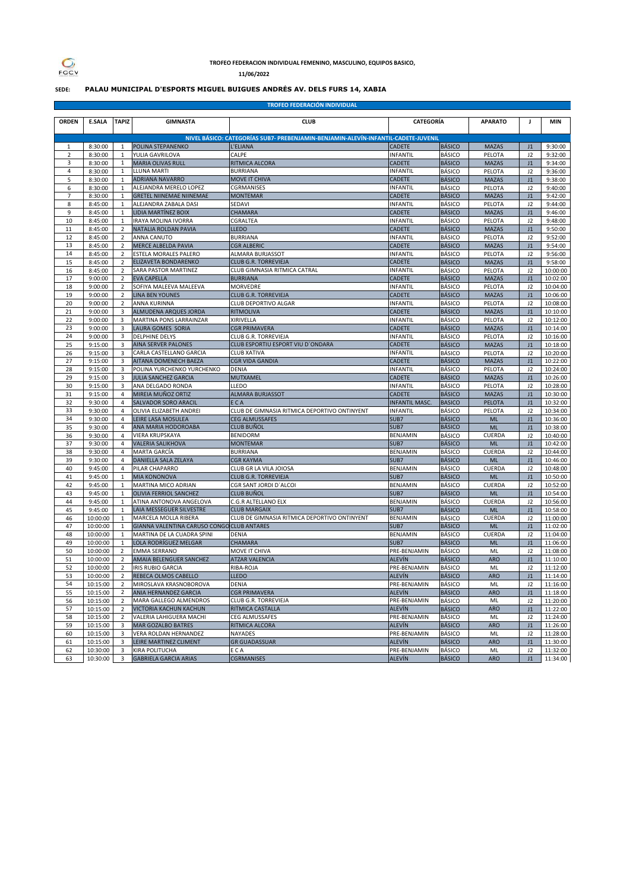

## **TROFEO FEDERACION INDIVIDUAL FEMENINO, MASCULINO, EQUIPOS BASICO,**

**TROFEO FEDERACIÓN INDIVIDUAL**

**11/06/2022**

## **SEDE: PALAU MUNICIPAL D'ESPORTS MIGUEL BUIGUES ANDRÉS AV. DELS FURS 14, XABIA**

| <b>ORDEN</b>        | <b>E.SALA</b>        | <b>TAPIZ</b>                     | <b>GIMNASTA</b>                                   | <b>CLUB</b>                                                                        | <b>CATEGORÍA</b>              |                                | <b>APARATO</b>         | $\mathbf{I}$   | MIN                  |
|---------------------|----------------------|----------------------------------|---------------------------------------------------|------------------------------------------------------------------------------------|-------------------------------|--------------------------------|------------------------|----------------|----------------------|
|                     |                      |                                  |                                                   |                                                                                    |                               |                                |                        |                |                      |
|                     |                      |                                  |                                                   | NIVEL BÁSICO: CATEGORÍAS SUB7- PREBENJAMIN-BENJAMIN-ALEVÍN-INFANTIL-CADETE-JUVENIL |                               |                                |                        |                |                      |
| 1                   | 8:30:00              | 1                                | POLINA STEPANENKO                                 | L'ELIANA                                                                           | <b>CADETE</b>                 | <b>BÁSICO</b>                  | <b>MAZAS</b>           | J1             | 9:30:00              |
| 2                   | 8:30:00              | 1                                | YULIA GAVRILOVA                                   | CALPE                                                                              | INFANTIL                      | <b>BÁSICO</b>                  | PELOTA                 | J2             | 9:32:00              |
| 3                   | 8:30:00              | 1                                | <b>MARIA OLIVAS RULL</b>                          | RITMICA ALCORA                                                                     | <b>CADETE</b>                 | <b>BÁSICO</b>                  | <b>MAZAS</b>           | J1             | 9:34:00              |
| $\overline{4}$<br>5 | 8:30:00<br>8:30:00   | 1<br>1                           | <b>LLUNA MARTI</b><br><b>ADRIANA NAVARRO</b>      | <b>BURRIANA</b><br>MOVE IT CHIVA                                                   | <b>INFANTIL</b><br>CADETE     | <b>BÁSICO</b><br><b>BÁSICO</b> | PELOTA<br><b>MAZAS</b> | J2<br>J1       | 9:36:00<br>9:38:00   |
| 6                   | 8:30:00              | 1                                | ALEJANDRA MERELO LOPEZ                            | CGRMANISES                                                                         | INFANTIL                      | <b>BÁSICO</b>                  | PELOTA                 | J2             | 9:40:00              |
| $\overline{7}$      | 8:30:00              | 1                                | <b>GRETEL NIINEMAE NIINEMAE</b>                   | <b>MONTEMAR</b>                                                                    | CADETE                        | <b>BÁSICO</b>                  | <b>MAZAS</b>           | J1             | 9:42:00              |
| 8                   | 8:45:00              | $\mathbf{1}$                     | ALEJANDRA ZABALA DASI                             | SEDAVI                                                                             | INFANTIL                      | <b>BÁSICO</b>                  | PELOTA                 | J2             | 9:44:00              |
| 9                   | 8:45:00              | 1                                | <b>LIDIA MARTÍNEZ BOIX</b>                        | CHAMARA                                                                            | CADETE                        | <b>BÁSICO</b>                  | <b>MAZAS</b>           | J1             | 9:46:00              |
| 10                  | 8:45:00              | 1                                | <b>IRAYA MOLINA IVORRA</b>                        | CGRALTEA                                                                           | INFANTIL                      | <b>BÁSICO</b>                  | PELOTA                 | J2             | 9:48:00              |
| 11                  | 8:45:00              | $\overline{2}$                   | NATALIA ROLDAN PAVIA                              | <b>LLEDO</b>                                                                       | CADETE                        | <b>BÁSICO</b>                  | <b>MAZAS</b>           | J1             | 9:50:00              |
| 12                  | 8:45:00              | 2                                | <b>ANNA CANUTO</b>                                | <b>BURRIANA</b>                                                                    | INFANTIL                      | <b>BÁSICO</b>                  | PELOTA                 | J2             | 9:52:00              |
| 13                  | 8:45:00              | $\overline{2}$                   | <b>MERCE ALBELDA PAVIA</b>                        | <b>CGR ALBERIC</b>                                                                 | <b>CADETE</b>                 | <b>BÁSICO</b>                  | <b>MAZAS</b>           | J1             | 9:54:00              |
| 14                  | 8:45:00              | 2                                | <b>ESTELA MORALES PALERO</b>                      | ALMARA BURJASSOT                                                                   | INFANTIL                      | <b>BÁSICO</b>                  | PELOTA                 | J2             | 9:56:00              |
| 15                  | 8:45:00              | $\overline{2}$                   | ELIZAVETA BONDARENKO                              | <b>CLUB G.R. TORREVIEJA</b>                                                        | CADETE                        | <b>BÁSICO</b>                  | <b>MAZAS</b>           | J1             | 9:58:00              |
| 16                  | 8:45:00              | $\overline{2}$                   | SARA PASTOR MARTINEZ                              | CLUB GIMNASIA RITMICA CATRAL                                                       | INFANTIL                      | <b>BÁSICO</b>                  | PELOTA                 | J2             | 10:00:00             |
| 17                  | 9:00:00              | $\overline{2}$                   | <b>EVA CAPELLA</b>                                | <b>BURRIANA</b>                                                                    | CADETE                        | <b>BÁSICO</b>                  | <b>MAZAS</b>           | J1             | 10:02:00             |
| 18                  | 9:00:00              | $\overline{2}$                   | SOFIYA MALEEVA MALEEVA                            | MORVEDRE                                                                           | INFANTIL                      | <b>BÁSICO</b>                  | PELOTA                 | 12             | 10:04:00             |
| 19<br>20            | 9:00:00<br>9:00:00   | 2<br>2                           | <b>LINA BEN YOUNES</b><br><b>ANNA KURINNA</b>     | <b>CLUB G.R. TORREVIEJA</b><br>CLUB DEPORTIVO ALGAR                                | CADETE<br>INFANTIL            | <b>BÁSICO</b><br><b>BÁSICO</b> | <b>MAZAS</b><br>PELOTA | J1<br>J2       | 10:06:00<br>10:08:00 |
| 21                  | 9:00:00              | 3                                | ALMUDENA ARQUES JORDA                             | <b>RITMOLIVA</b>                                                                   | CADETE                        | <b>BÁSICO</b>                  | <b>MAZAS</b>           | J1             | 10:10:00             |
| 22                  | 9:00:00              | 3                                | MARTINA PONS LARRAINZAR                           | <b>XIRIVELLA</b>                                                                   | INFANTIL                      | <b>BÁSICO</b>                  | PELOTA                 | J2             | 10:12:00             |
| 23                  | 9:00:00              | 3                                | LAURA GOMES SORIA                                 | <b>CGR PRIMAVERA</b>                                                               | <b>CADETE</b>                 | <b>BÁSICO</b>                  | <b>MAZAS</b>           | J1             | 10:14:00             |
| 24                  | 9:00:00              | 3                                | <b>DELPHINE DELYS</b>                             | CLUB G.R. TORREVIEJA                                                               | INFANTIL                      | <b>BÁSICO</b>                  | PELOTA                 | J2             | 10:16:00             |
| 25                  | 9:15:00              | 3                                | <b>AINA SERVER PALONES</b>                        | CLUB ESPORTIU ESPORT VIU D'ONDARA                                                  | CADETE                        | <b>BÁSICO</b>                  | <b>MAZAS</b>           | J1             | 10:18:00             |
| 26                  | 9:15:00              | 3                                | CARLA CASTELLANO GARCIA                           | <b>CLUB XATIVA</b>                                                                 | <b>INFANTIL</b>               | <b>BÁSICO</b>                  | PELOTA                 | J2             | 10:20:00             |
| 27                  | 9:15:00              | 3                                | AITANA DOMENECH BAEZA                             | <b>CGR VIDA GANDIA</b>                                                             | <b>CADETE</b>                 | <b>BÁSICO</b>                  | <b>MAZAS</b>           | J1             | 10:22:00             |
| 28                  | 9:15:00              | 3                                | POLINA YURCHENKO YURCHENKO                        | DENIA                                                                              | <b>INFANTIL</b>               | <b>BÁSICO</b>                  | PELOTA                 | 12             | 10:24:00             |
| 29                  | 9:15:00              | 3                                | <b>JULIA SANCHEZ GARCIA</b>                       | <b>MUTXAMEL</b>                                                                    | CADETE                        | <b>BÁSICO</b>                  | <b>MAZAS</b>           | J1             | 10:26:00             |
| 30                  | 9:15:00              | 3                                | ANA DELGADO RONDA                                 | LLEDO                                                                              | INFANTIL                      | <b>BÁSICO</b>                  | PELOTA                 | J2             | 10:28:00             |
| 31                  | 9:15:00              | 4                                | MIREIA MUÑOZ ORTIZ                                | ALMARA BURJASSOT                                                                   | CADETE                        | <b>BÁSICO</b>                  | <b>MAZAS</b>           | J1             | 10:30:00             |
| 32                  | 9:30:00              | 4                                | <b>SALVADOR SORO ARACIL</b>                       | ECA                                                                                | INFANTIL MASC.                | <b>BASICO</b>                  | PELOTA                 | J1             | 10:32:00             |
| 33                  | 9:30:00              | $\overline{4}$                   | OLIVIA ELIZABETH ANDREI                           | CLUB DE GIMNASIA RITMICA DEPORTIVO ONTINYENT                                       | <b>INFANTIL</b>               | <b>BÁSICO</b>                  | PELOTA                 | J2             | 10:34:00             |
| 34                  | 9:30:00              | 4                                | LEIRE LASA MOSULEA                                | <b>CEG ALMUSSAFES</b>                                                              | SUB7                          | <b>BÁSICO</b>                  | ML                     | J1             | 10:36:00             |
| 35                  | 9:30:00              | 4                                | ANA MARIA HODOROABA                               | <b>CLUB BUÑOL</b>                                                                  | SUB7                          | <b>BÁSICO</b>                  | ML                     | J1             | 10:38:00             |
| 36<br>37            | 9:30:00              | 4                                | <b>VIERA KRUPSKAYA</b>                            | <b>BENIDORM</b>                                                                    | BENJAMIN                      | <b>BÁSICO</b>                  | CUERDA                 | J2             | 10:40:00             |
| 38                  | 9:30:00<br>9:30:00   | 4<br>$\overline{4}$              | <b>VALERIA SALIKHOVA</b><br><b>MARTA GARCÍA</b>   | <b>MONTEMAR</b><br><b>BURRIANA</b>                                                 | SUB7<br>BENJAMIN              | <b>BÁSICO</b><br><b>BÁSICO</b> | <b>ML</b><br>CUERDA    | J1<br>12       | 10:42:00<br>10:44:00 |
| 39                  | 9:30:00              | $\overline{4}$                   | DANIELLA SALA ZELAYA                              | <b>CGR KAYMA</b>                                                                   | SUB7                          | <b>BÁSICO</b>                  | ML                     | J1             | 10:46:00             |
| 40                  | 9:45:00              | 4                                | PILAR CHAPARRO                                    | CLUB GR LA VILA JOIOSA                                                             | BENJAMIN                      | <b>BÁSICO</b>                  | CUERDA                 | J2             | 10:48:00             |
| 41                  | 9:45:00              | 1                                | <b>MIA KONONOVA</b>                               | <b>CLUB G.R. TORREVIEJA</b>                                                        | SUB7                          | <b>BÁSICO</b>                  | ML                     | J1             | 10:50:00             |
| 42                  | 9:45:00              | 1                                | MARTINA MICO ADRIAN                               | CGR SANT JORDI D'ALCOI                                                             | BENJAMIN                      | <b>BÁSICO</b>                  | CUERDA                 | J2             | 10:52:00             |
| 43                  | 9:45:00              | $\mathbf{1}$                     | <b>OLIVIA FERRIOL SANCHEZ</b>                     | <b>CLUB BUÑOL</b>                                                                  | SUB7                          | <b>BÁSICO</b>                  | ML                     | J1             | 10:54:00             |
| 44                  | 9:45:00              | $\mathbf{1}$                     | ATINA ANTONOVA ANGELOVA                           | C.G.R ALTELLANO ELX                                                                | BENJAMIN                      | <b>BÁSICO</b>                  | CUERDA                 | J2             | 10:56:00             |
| 45                  | 9:45:00              | 1                                | LAIA MESSEGUER SILVESTRE                          | <b>CLUB MARGAIX</b>                                                                | SUB7                          | <b>BÁSICO</b>                  | ML                     | J1             | 10:58:00             |
| 46                  | 10:00:00             | 1                                | MARCELA MOLLA RIBERA                              | CLUB DE GIMNASIA RITMICA DEPORTIVO ONTINYENT                                       | BENJAMIN                      | <b>BÁSICO</b>                  | <b>CUERDA</b>          | J2             | 11:00:00             |
| 47                  | 10:00:00             | 1                                | GIANNA VALENTINA CARUSO CONGO CLUB ANTARES        |                                                                                    | SUB7                          | <b>BÁSICO</b>                  | <b>ML</b>              | J1             | 11:02:00             |
| 48                  | 10:00:00             | $\mathbf{1}$                     | MARTINA DE LA CUADRA SPINI                        | <b>DENIA</b>                                                                       | BENJAMIN                      | <b>BÁSICO</b>                  | CUERDA                 | J2             | 11:04:00             |
| 49                  | 10:00:00             | $\mathbf{1}$                     | LOLA RODRÍGUEZ MELGAR                             | <b>CHAMARA</b>                                                                     | SUB7                          | <b>BÁSICO</b>                  | ML                     | J1             | 11:06:00             |
| 50                  | 10:00:00             | $\overline{2}$                   | <b>EMMA SERRANO</b>                               | MOVE IT CHIVA                                                                      | PRE-BENJAMIN                  | <b>BÁSICO</b>                  | ML                     | J2             | 11:08:00             |
| 51                  | 10:00:00             | 2                                | AMAIA BELENGUER SANCHEZ                           | <b>ATZAR VALENCIA</b>                                                              | ALEVÍN                        | <b>BÁSICO</b>                  | <b>ARO</b>             | J1             | 11:10:00             |
| 52                  | 10:00:00             | 2                                | <b>IRIS RUBIO GARCIA</b>                          | RIBA-ROJA                                                                          | PRE-BENJAMIN                  | <b>BÁSICO</b>                  | ML                     | J2             | 11:12:00             |
| 53                  | 10:00:00             | $\overline{2}$                   | REBECA OLMOS CABELLO                              | <b>LLEDO</b>                                                                       | ALEVÍN                        | <b>BÁSICO</b>                  | <b>ARO</b>             | J1             | 11:14:00             |
| 54                  | 10:15:00             | $\overline{2}$                   | MIROSLAVA KRASNOBOROVA                            | DENIA                                                                              | PRE-BENJAMIN                  | <b>BÁSICO</b>                  | ML                     | J <sub>2</sub> | 11:16:00             |
| 55                  | 10:15:00             | $\overline{2}$                   | ANIA HERNANDEZ GARCIA<br>MARA GALLEGO ALMENDROS   | <b>CGR PRIMAVERA</b>                                                               | <b>ALEVÍN</b>                 | <b>BÁSICO</b>                  | <b>ARO</b>             | J1             | 11:18:00<br>11:20:00 |
| 56                  | 10:15:00             | $\overline{2}$<br>$\overline{2}$ |                                                   | CLUB G.R. TORREVIEJA<br>RITMICA CASTALLA                                           | PRE-BENJAMIN<br><b>ALEVÍN</b> | <b>BÁSICO</b><br><b>BÁSICO</b> | ML                     | J2<br>$\sf J1$ |                      |
| 57<br>58            | 10:15:00<br>10:15:00 | $\overline{2}$                   | VICTORIA KACHUN KACHUN<br>VALERIA LAHIGUERA MACHI | CEG ALMUSSAFES                                                                     | PRE-BENJAMIN                  | BÁSICO                         | <b>ARO</b><br>ML       | J2             | 11:22:00<br>11:24:00 |
| 59                  | 10:15:00             | 3                                | <b>MAR GOZALBO BATRES</b>                         | RITMICA ALCORA                                                                     | <b>ALEVÍN</b>                 | <b>BÁSICO</b>                  | <b>ARO</b>             | J1             | 11:26:00             |
| 60                  | 10:15:00             | 3                                | VERA ROLDAN HERNANDEZ                             | NAYADES                                                                            | PRE-BENJAMIN                  | <b>BÁSICO</b>                  | ML                     | J2             | 11:28:00             |
| 61                  | 10:15:00             | 3                                | LEIRE MARTINEZ CLIMENT                            | <b>GR GUADASSUAR</b>                                                               | <b>ALEVÍN</b>                 | <b>BÁSICO</b>                  | <b>ARO</b>             | J1             | 11:30:00             |
| 62                  | 10:30:00             | 3                                | KIRA POLITUCHA                                    | ECA                                                                                | PRE-BENJAMIN                  | <b>BÁSICO</b>                  | ML                     | J2             | 11:32:00             |
| 63                  | 10:30:00             | 3                                | <b>GABRIELA GARCIA ARIAS</b>                      | <b>CGRMANISES</b>                                                                  | ALEVÍN                        | <b>BÁSICO</b>                  | <b>ARO</b>             | J1             | 11:34:00             |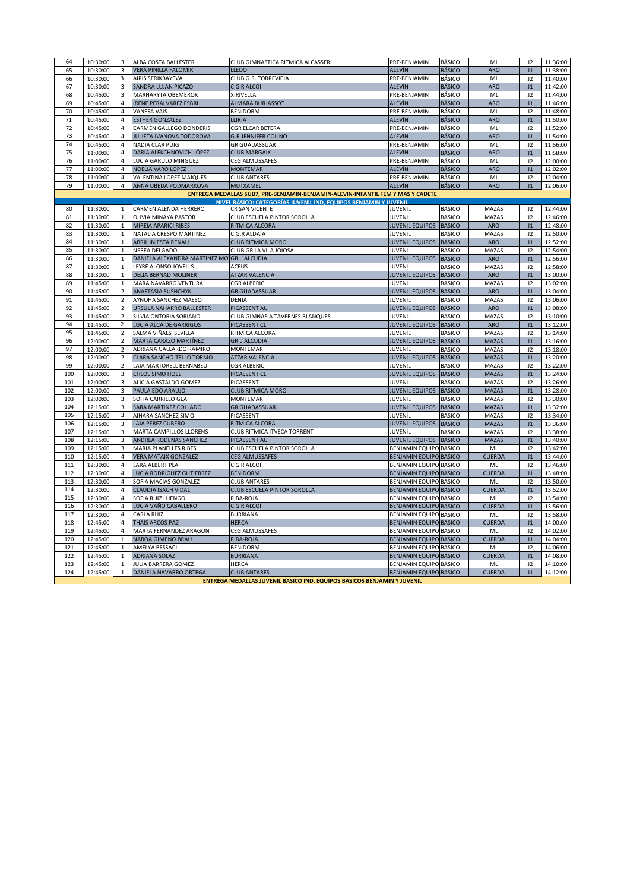| 64  | 10:30:00 | 3              | ALBA COSTA BALLESTER                       | CLUB GIMNASTICA RITMICA ALCASSER                                                | PRE-BENJAMIN                  | <b>BÁSICO</b> | ML            | J2             | 11:36:00 |
|-----|----------|----------------|--------------------------------------------|---------------------------------------------------------------------------------|-------------------------------|---------------|---------------|----------------|----------|
| 65  | 10:30:00 | 3              | <b>VERA PINILLA FALOMIR</b>                | <b>LLEDO</b>                                                                    | ALEVÍN                        | <b>BÁSICO</b> | <b>ARO</b>    | J1             | 11:38:00 |
| 66  | 10:30:00 | 3              | <b>AIRIS SERIKBAYEVA</b>                   | CLUB G.R. TORREVIEJA                                                            | PRE-BENJAMIN                  | <b>BÁSICO</b> | ML            | J2             | 11:40:00 |
| 67  | 10:30:00 | $\mathsf 3$    | SANDRA LUJAN PICAZO                        | C G R ALCOI                                                                     | ALEVÍN                        | <b>BÁSICO</b> | <b>ARO</b>    | J1             | 11:42:00 |
| 68  | 10:45:00 | 3              | <b>MARHARYTA OBEMEROK</b>                  | XIRIVELLA                                                                       | PRE-BENJAMIN                  | <b>BÁSICO</b> | ML            | J2             | 11:44:00 |
| 69  | 10:45:00 | 4              | <b>IRENE PERALVAREZ ESBRI</b>              | ALMARA BURJASSOT                                                                | ALEVÍN                        | <b>BÁSICO</b> | <b>ARO</b>    | J1             | 11:46:00 |
| 70  | 10:45:00 | 4              | <b>VANESA VAIS</b>                         | BENIDORM                                                                        | PRE-BENJAMIN                  | <b>BÁSICO</b> | ML            | J2             | 11:48:00 |
| 71  | 10:45:00 | 4              | <b>ESTHER GONZALEZ</b>                     | LLIRIA                                                                          | ALEVÍN                        | <b>BÁSICO</b> | <b>ARO</b>    | J1             | 11:50:00 |
| 72  | 10:45:00 | 4              | CARMEN GALLEGO DONDERIS                    | CGR ELCAR BETERA                                                                | PRE-BENJAMIN                  | <b>BÁSICO</b> | MI.           | J2             | 11:52:00 |
| 73  | 10:45:00 | 4              | JULIETA IVANOVA TODOROVA                   | <b>G.R.JENNIFER COLINO</b>                                                      | ALEVÍN                        | <b>BÁSICO</b> | <b>ARO</b>    | J1             | 11:54:00 |
| 74  | 10:45:00 | $\overline{4}$ | <b>NADIA CLAR PUIG</b>                     | <b>GR GUADASSUAR</b>                                                            | PRE-BENJAMIN                  | <b>BÁSICO</b> | ML            | 12             | 11:56:00 |
| 75  | 11:00:00 | 4              | DARIA ALEKCHNOVICH LÓPEZ                   | <b>CLUB MARGAIX</b>                                                             | ALEVÍN                        | <b>BÁSICO</b> | <b>ARO</b>    | J1             | 11:58:00 |
| 76  | 11:00:00 | 4              | LUCIA GARULO MINGUEZ                       | CEG ALMUSSAFES                                                                  | PRE-BENJAMIN                  | <b>BÁSICO</b> | ML            | J2             | 12:00:00 |
| 77  | 11:00:00 | $\overline{4}$ | <b>NOELIA VARO LOPEZ</b>                   | <b>MONTEMAR</b>                                                                 | ALEVÍN                        | <b>BÁSICO</b> | <b>ARO</b>    | J1             | 12:02:00 |
| 78  | 11:00:00 | 4              | VALENTINA LOPEZ MAIQUES                    | <b>CLUB ANTARES</b>                                                             | PRE-BENJAMIN                  | <b>BÁSICO</b> | ML            | J2             | 12:04:00 |
| 79  | 11:00:00 | $\overline{4}$ | ANNA UBEDA PODMARKOVA                      | <b>MUTXAMEL</b>                                                                 | ALEVÍN                        | <b>BÁSICO</b> | <b>ARO</b>    | J1             | 12:06:00 |
|     |          |                |                                            | ENTREGA MEDALLAS SUB7, PRE-BENJAMIN-BENJAMIN-ALEVIN-INFANTIL FEM Y MAS Y CADETE |                               |               |               |                |          |
|     |          |                |                                            | NIVEL BÁSICO: CATEGORÍAS JUVENIL IND. EQUIPOS BENJAMIN Y JUVENI                 |                               |               |               |                |          |
| 80  | 11:30:00 |                | CARMEN ALENDA HERRERO                      | CR SAN VICENTE                                                                  | JUVENIL                       | <b>BASICO</b> | <b>MAZAS</b>  | J <sub>2</sub> | 12:44:00 |
| 81  | 11:30:00 | $\mathbf{1}$   | <b>OLIVIA MINAYA PASTOR</b>                | CLUB ESCUELA PINTOR SOROLLA                                                     | <b>JUVENIL</b>                | <b>BASICO</b> | MAZAS         | J2             | 12:46:00 |
| 82  | 11:30:00 | $\mathbf{1}$   | <b>MIREIA APARICI RIBES</b>                | RITMICA ALCORA                                                                  | <b>JUVENIL EQUIPOS</b>        | <b>BASICO</b> | <b>ARO</b>    | J1             | 12:48:00 |
| 83  | 11:30:00 | $\mathbf{1}$   | NATALIA CRESPO MARTINEZ                    | C.G.R ALDAIA                                                                    | <b>JUVENIL</b>                | <b>BASICO</b> | MAZAS         | 12             | 12:50:00 |
| 84  | 11:30:00 | $\mathbf{1}$   | ABRIL INIESTA RENAU                        | <b>CLUB RITMICA MORO</b>                                                        | <b>JUVENIL EQUIPOS</b>        | <b>BASICO</b> | <b>ARO</b>    | J1             | 12:52:00 |
| 85  | 11:30:00 | $\mathbf{1}$   | <b>NEREA DELGADO</b>                       | CLUB GR LA VILA JOIOSA                                                          | <b>JUVENIL</b>                | <b>BASICO</b> | <b>MAZAS</b>  | 12             | 12:54:00 |
| 86  | 11:30:00 | $\mathbf{1}$   | DANIELA ALEXANDRA MARTINEZ MO GR L'ALCUDIA |                                                                                 | <b>JUVENIL EQUIPOS</b>        | <b>BASICO</b> | <b>ARO</b>    | J1             | 12:56:00 |
| 87  | 11:30:00 | $1\,$          | LEYRE ALONSO JOVELLS                       | <b>ACEUS</b>                                                                    | <b>JUVENIL</b>                | <b>BASICO</b> | MAZAS         | J2             | 12:58:00 |
| 88  | 11:30:00 | $\mathbf 1$    | DELIA BERNAD MOLINER                       | <b>ATZAR VALENCIA</b>                                                           | <b>JUVENIL EQUIPOS</b>        | <b>BASICO</b> | ARO           | $\sf J1$       | 13:00:00 |
| 89  | 11:45:00 | $\mathbf{1}$   | MARA NAVARRO VENTURA                       | <b>CGR ALBERIC</b>                                                              | <b>JUVENIL</b>                | <b>BASICO</b> | MAZAS         | 12             | 13:02:00 |
| 90  | 11:45:00 | $\mathbf 2$    | <b>ANASTASIA SUSHCHYK</b>                  | <b>GR GUADASSUAR</b>                                                            | <b>JUVENIL EQUIPOS</b>        | <b>BASICO</b> | <b>ARO</b>    | $\mathsf{J1}$  | 13:04:00 |
| 91  | 11:45:00 | $\overline{2}$ | AYNOHA SANCHEZ MAESO                       | <b>DENIA</b>                                                                    | <b>JUVENIL</b>                | <b>BASICO</b> | MAZAS         | J2             | 13:06:00 |
| 92  | 11:45:00 | $\overline{2}$ | URSULA NAHARRO BALLESTER                   | PICASSENT AU                                                                    | <b>JUVENIL EQUIPOS</b>        | <b>BASICO</b> | <b>ARO</b>    | J1             | 13:08:00 |
| 93  | 11:45:00 | $\overline{2}$ | SILVIA ONTORIA SORIANO                     | CLUB GIMNASIA TAVERNES BLANQUES                                                 | <b>JUVENIL</b>                | <b>BASICO</b> | MAZAS         | J2             | 13:10:00 |
| 94  | 11:45:00 | $\overline{2}$ | LUCIA ALCAIDE GARRIGOS                     | PICASSENT CL                                                                    | <b>JUVENIL EQUIPOS</b>        | <b>BASICO</b> | <b>ARO</b>    | J1             | 13:12:00 |
| 95  | 11:45:00 | 2              | SALMA VIÑALS SEVILLA                       | RITMICA ALCORA                                                                  | <b>JUVENIL</b>                | <b>BASICO</b> | MAZAS         | J2             | 13:14:00 |
| 96  | 12:00:00 | $\overline{2}$ | MARTA CARAZO MARTÍNEZ                      | <b>GR L'ALCUDIA</b>                                                             | <b>JUVENIL EQUIPOS</b>        | <b>BASICO</b> | <b>MAZAS</b>  | J1             | 13:16:00 |
| 97  | 12:00:00 | $\overline{2}$ | ADRIANA GALLARDO RAMIRO                    | <b>MONTEMAR</b>                                                                 | <b>JUVENIL</b>                | <b>BASICO</b> | MAZAS         | J2             | 13:18:00 |
| 98  | 12:00:00 | $\overline{2}$ | <b>CLARA SANCHO-TELLO TORMO</b>            | <b>ATZAR VALENCIA</b>                                                           | <b>JUVENIL EQUIPOS</b>        | <b>BASICO</b> | <b>MAZAS</b>  | J1             | 13:20:00 |
| 99  | 12:00:00 | $\overline{2}$ | LAIA MARTORELL BERNABEU                    | <b>CGR ALBERIC</b>                                                              | <b>JUVENIL</b>                | <b>BASICO</b> | MAZAS         | J2             | 13:22:00 |
| 100 | 12:00:00 | 3              | <b>CHLOE SIMO HOEL</b>                     | PICASSENT CL                                                                    | <b>JUVENIL EQUIPOS</b>        | <b>BASICO</b> | <b>MAZAS</b>  | J1             | 13:24:00 |
| 101 | 12:00:00 | 3              | ALICIA GASTALDO GOMEZ                      | PICASSENT                                                                       | JUVENIL                       | <b>BASICO</b> | MAZAS         | 12             | 13:26:00 |
| 102 | 12:00:00 | 3              | PAULA EDO ARAUJO                           | <b>CLUB RITMICA MORO</b>                                                        | <b>JUVENIL EQUIPOS</b>        | <b>BASICO</b> | <b>MAZAS</b>  | J1             | 13:28:00 |
| 103 | 12:00:00 | 3              | SOFIA CARRILLO GEA                         | <b>MONTEMAR</b>                                                                 | <b>JUVENIL</b>                | <b>BASICO</b> | MAZAS         | J2             | 13:30:00 |
| 104 | 12:15:00 | $\overline{3}$ | <b>SARA MARTINEZ COLLADO</b>               | <b>GR GUADASSUAR</b>                                                            | <b>JUVENIL EQUIPOS</b>        | <b>BASICO</b> | <b>MAZAS</b>  | J1             | 13:32:00 |
| 105 | 12:15:00 | 3              | AINARA SANCHEZ SIMO                        | PICASSENT                                                                       | <b>JUVENIL</b>                | <b>BASICO</b> | <b>MAZAS</b>  | 12             | 13:34:00 |
| 106 | 12:15:00 | 3              | <b>LAIA PEREZ CUBERO</b>                   | RITMICA ALCORA                                                                  | <b>JUVENIL EQUIPOS</b>        | <b>BASICO</b> | <b>MAZAS</b>  | J1             | 13:36:00 |
| 107 | 12:15:00 | 3              | MARTA CAMPILLOS LLORENS                    | CLUB RITMICA ITVECA TORRENT                                                     | <b>JUVENIL</b>                | <b>BASICO</b> | MAZAS         | 12             | 13:38:00 |
| 108 | 12:15:00 | 3              | ANDREA RODENAS SANCHEZ                     | PICASSENT AU                                                                    | <b>JUVENIL EQUIPOS</b>        | <b>BASICO</b> | <b>MAZAS</b>  | J1             | 13:40:00 |
| 109 | 12:15:00 | 3              | MARIA PLANELLES RIBES                      | CLUB ESCUELA PINTOR SOROLLA                                                     | <b>BENJAMIN EQUIPO BASICO</b> |               | ML            | 12             | 13:42:00 |
| 110 | 12:15:00 | $\overline{4}$ | <b>VERA MATAIX GONZALEZ</b>                | <b>CEG ALMUSSAFES</b>                                                           | <b>BENJAMIN EQUIPO BASICO</b> |               | <b>CUERDA</b> | J1             | 13:44:00 |
| 111 | 12:30:00 | $\overline{4}$ | <b>LARA ALBERT PLA</b>                     | C G R ALCOI                                                                     | <b>BENJAMIN EQUIPO BASICO</b> |               | ML            | 12             | 13:46:00 |
| 112 | 12:30:00 | 4              | LUCIA RODRIGUEZ GUTIERREZ                  | <b>BENIDORM</b>                                                                 | <b>BENJAMIN EQUIPO BASICO</b> |               | <b>CUERDA</b> | J1             | 13:48:00 |
| 113 | 12:30:00 | 4              | SOFIA MACIAS GONZALEZ                      | <b>CLUB ANTARES</b>                                                             | BENJAMIN EQUIPO BASICO        |               | ML            | J2             | 13:50:00 |
| 114 | 12:30:00 | $\overline{4}$ | <b>CLAUDIA ISACH VIDAL</b>                 | <b>CLUB ESCUELA PINTOR SOROLLA</b>                                              | <b>BENJAMIN EQUIPO BASICO</b> |               | <b>CUERDA</b> | $\sf J1$       | 13:52:00 |
| 115 | 12:30:00 | 4              | SOFIA RUIZ LUENGO                          | RIBA-ROJA                                                                       | BENJAMIN EQUIPO BASICO        |               | ML            | J2             | 13:54:00 |
| 116 | 12:30:00 | 4              | LUCIA VAÑO CABALLERO                       | C G R ALCOI                                                                     | <b>BENJAMIN EQUIPO BASICO</b> |               | <b>CUERDA</b> | J1             | 13:56:00 |
| 117 | 12:30:00 | $\overline{4}$ | <b>CARLA RUIZ</b>                          | <b>BURRIANA</b>                                                                 | <b>BENJAMIN EQUIPO BASICO</b> |               | ML            | 12             | 13:58:00 |
| 118 | 12:45:00 | 4              | <b>THAIS ARCOS PAZ</b>                     | <b>HERCA</b>                                                                    | <b>BENJAMIN EQUIPO BASICO</b> |               | <b>CUERDA</b> | J1             | 14:00:00 |
| 119 | 12:45:00 | 4              | MARTA FERNANDEZ ARAGON                     | CEG ALMUSSAFES                                                                  | <b>BENJAMIN EQUIPO BASICO</b> |               | MI            | J2             | 14:02:00 |
| 120 | 12:45:00 | $\mathbf{1}$   | NAROA GIMENO BRAU                          | RIBA-ROJA                                                                       | <b>BENJAMIN EQUIPO BASICO</b> |               | <b>CUERDA</b> | J1             | 14:04:00 |
| 121 | 12:45:00 | $\mathbf{1}$   | AMELYA BESSACI                             | <b>BENIDORM</b>                                                                 | <b>BENJAMIN EQUIPO BASICO</b> |               | ML            | 12             | 14:06:00 |
| 122 | 12:45:00 | 1              | <b>ADRIANA SOLAZ</b>                       | <b>BURRIANA</b>                                                                 | <b>BENJAMIN EQUIPO BASICO</b> |               | <b>CUERDA</b> | J1             | 14:08:00 |
| 123 | 12:45:00 | $\mathbf{1}$   | JULIA BARRERA GOMEZ                        | <b>HERCA</b>                                                                    | <b>BENJAMIN EQUIPO BASICO</b> |               | ML            | J2             | 14:10:00 |
| 124 | 12:45:00 | $\mathbf{1}$   | <b>DANIELA NAVARRO ORTEGA</b>              | <b>CLUB ANTARES</b>                                                             | <b>BENJAMIN EQUIPO BASICO</b> |               | <b>CUERDA</b> | J1             | 14:12:00 |
|     |          |                |                                            | <b>ENTREGA MEDALLAS JUVENIL BASICO IND, EQUIPOS BASICOS BENJAMIN Y JUVENIL</b>  |                               |               |               |                |          |

**ENTREGA MEDALLAS JUVENIL BASICO IND, EQUIPOS BASICOS BENJAMIN Y JUVENIL**